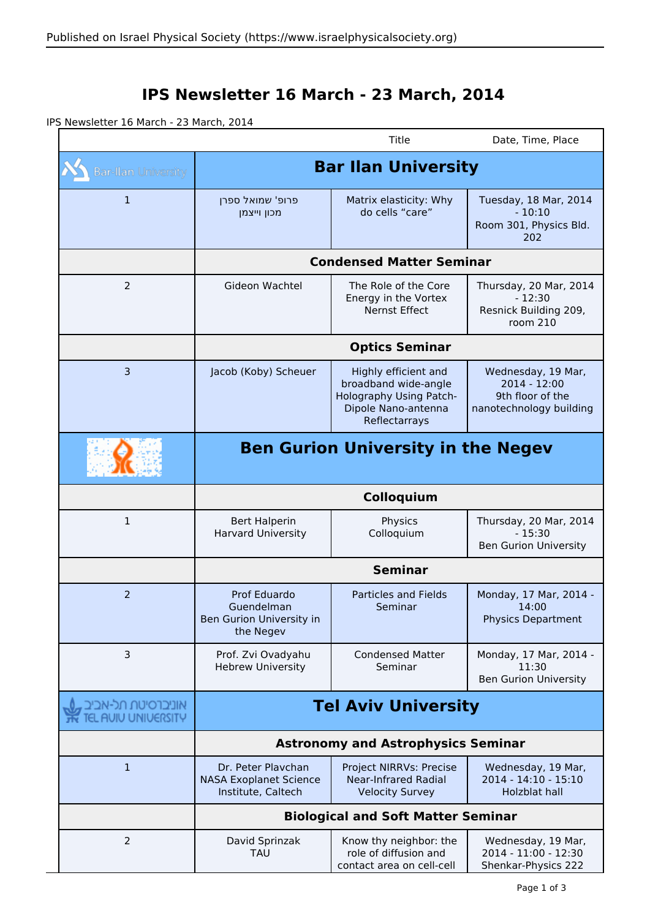## **IPS Newsletter 16 March - 23 March, 2014**

IPS Newsletter 16 March - 23 March, 2014

|                                             |                                                                           | Title                                                                                                           | Date, Time, Place                                                                 |  |
|---------------------------------------------|---------------------------------------------------------------------------|-----------------------------------------------------------------------------------------------------------------|-----------------------------------------------------------------------------------|--|
| <b>Bar-Ilan University</b>                  | <b>Bar Ilan University</b>                                                |                                                                                                                 |                                                                                   |  |
| $\mathbf{1}$                                | פרופ' שמואל ספרן<br>מכון וייצמן                                           | Matrix elasticity: Why<br>do cells "care"                                                                       | Tuesday, 18 Mar, 2014<br>$-10:10$<br>Room 301, Physics Bld.<br>202                |  |
|                                             | <b>Condensed Matter Seminar</b>                                           |                                                                                                                 |                                                                                   |  |
| $\overline{2}$                              | Gideon Wachtel                                                            | The Role of the Core<br>Energy in the Vortex<br>Nernst Effect                                                   | Thursday, 20 Mar, 2014<br>$-12:30$<br>Resnick Building 209,<br>room 210           |  |
|                                             | <b>Optics Seminar</b>                                                     |                                                                                                                 |                                                                                   |  |
| 3                                           | Jacob (Koby) Scheuer                                                      | Highly efficient and<br>broadband wide-angle<br>Holography Using Patch-<br>Dipole Nano-antenna<br>Reflectarrays | Wednesday, 19 Mar,<br>2014 - 12:00<br>9th floor of the<br>nanotechnology building |  |
|                                             | <b>Ben Gurion University in the Negev</b>                                 |                                                                                                                 |                                                                                   |  |
|                                             | Colloquium                                                                |                                                                                                                 |                                                                                   |  |
| 1                                           | <b>Bert Halperin</b><br><b>Harvard University</b>                         | Physics<br>Colloquium                                                                                           | Thursday, 20 Mar, 2014<br>$-15:30$<br><b>Ben Gurion University</b>                |  |
|                                             | <b>Seminar</b>                                                            |                                                                                                                 |                                                                                   |  |
| $\overline{2}$                              | Prof Eduardo<br>Guendelman<br>Ben Gurion University in<br>the Negev       | <b>Particles and Fields</b><br>Seminar                                                                          | Monday, 17 Mar, 2014 -<br>14:00<br><b>Physics Department</b>                      |  |
| 3                                           | Prof. Zvi Ovadyahu<br><b>Hebrew University</b>                            | <b>Condensed Matter</b><br>Seminar                                                                              | Monday, 17 Mar, 2014 -<br>11:30<br><b>Ben Gurion University</b>                   |  |
| , אוניברסיטת תל-אביב<br>TEL AUIU UNIUERSITY | <b>Tel Aviv University</b>                                                |                                                                                                                 |                                                                                   |  |
|                                             | <b>Astronomy and Astrophysics Seminar</b>                                 |                                                                                                                 |                                                                                   |  |
| $\mathbf{1}$                                | Dr. Peter Plavchan<br><b>NASA Exoplanet Science</b><br>Institute, Caltech | Project NIRRVs: Precise<br><b>Near-Infrared Radial</b><br><b>Velocity Survey</b>                                | Wednesday, 19 Mar,<br>2014 - 14:10 - 15:10<br>Holzblat hall                       |  |
|                                             | <b>Biological and Soft Matter Seminar</b>                                 |                                                                                                                 |                                                                                   |  |
| $\overline{2}$                              | David Sprinzak<br><b>TAU</b>                                              | Know thy neighbor: the<br>role of diffusion and<br>contact area on cell-cell                                    | Wednesday, 19 Mar,<br>2014 - 11:00 - 12:30<br>Shenkar-Physics 222                 |  |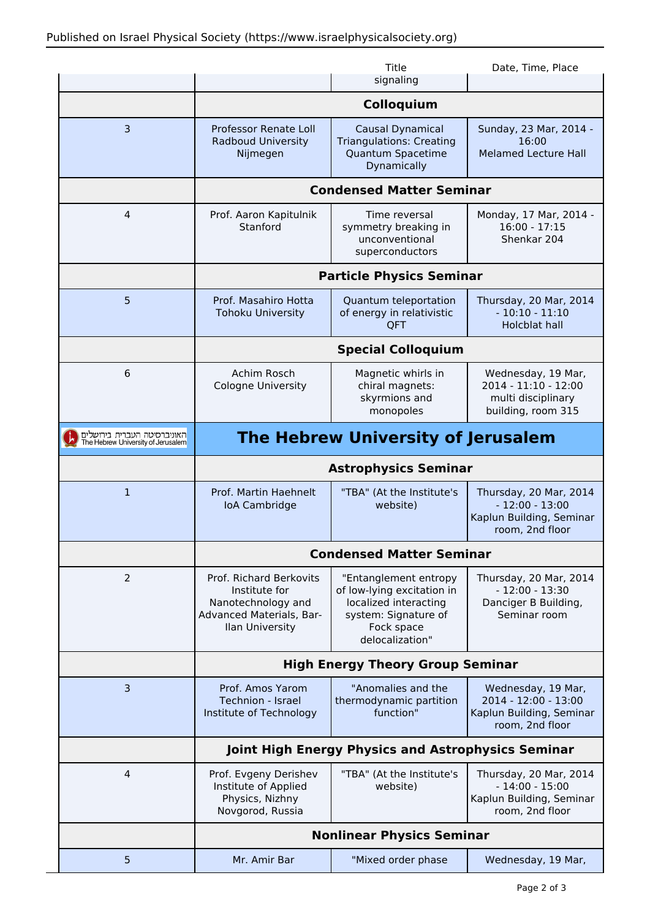|                                                                   |                                                                                                               | Title<br>signaling                                                                                                                    | Date, Time, Place                                                                         |  |  |
|-------------------------------------------------------------------|---------------------------------------------------------------------------------------------------------------|---------------------------------------------------------------------------------------------------------------------------------------|-------------------------------------------------------------------------------------------|--|--|
|                                                                   | Colloquium                                                                                                    |                                                                                                                                       |                                                                                           |  |  |
| 3                                                                 | Professor Renate Loll<br><b>Radboud University</b><br>Nijmegen                                                | Causal Dynamical<br><b>Triangulations: Creating</b><br>Quantum Spacetime<br>Dynamically                                               | Sunday, 23 Mar, 2014 -<br>16:00<br><b>Melamed Lecture Hall</b>                            |  |  |
|                                                                   | <b>Condensed Matter Seminar</b>                                                                               |                                                                                                                                       |                                                                                           |  |  |
| 4                                                                 | Prof. Aaron Kapitulnik<br>Stanford                                                                            | Time reversal<br>symmetry breaking in<br>unconventional<br>superconductors                                                            | Monday, 17 Mar, 2014 -<br>$16:00 - 17:15$<br>Shenkar 204                                  |  |  |
|                                                                   | <b>Particle Physics Seminar</b>                                                                               |                                                                                                                                       |                                                                                           |  |  |
| 5                                                                 | Prof. Masahiro Hotta<br><b>Tohoku University</b>                                                              | Quantum teleportation<br>of energy in relativistic<br>QFT                                                                             | Thursday, 20 Mar, 2014<br>$-10:10 - 11:10$<br><b>Holcblat hall</b>                        |  |  |
|                                                                   | <b>Special Colloquium</b>                                                                                     |                                                                                                                                       |                                                                                           |  |  |
| 6                                                                 | Achim Rosch<br><b>Cologne University</b>                                                                      | Magnetic whirls in<br>chiral magnets:<br>skyrmions and<br>monopoles                                                                   | Wednesday, 19 Mar,<br>2014 - 11:10 - 12:00<br>multi disciplinary<br>building, room 315    |  |  |
| האוניברסיטה העברית בירושלים<br>The Hebrew University of Jerusalem | <b>The Hebrew University of Jerusalem</b>                                                                     |                                                                                                                                       |                                                                                           |  |  |
|                                                                   | <b>Astrophysics Seminar</b>                                                                                   |                                                                                                                                       |                                                                                           |  |  |
| $\mathbf{1}$                                                      | Prof. Martin Haehnelt<br>loA Cambridge                                                                        | "TBA" (At the Institute's<br>website)                                                                                                 | Thursday, 20 Mar, 2014<br>$-12:00 - 13:00$<br>Kaplun Building, Seminar<br>room, 2nd floor |  |  |
|                                                                   | <b>Condensed Matter Seminar</b>                                                                               |                                                                                                                                       |                                                                                           |  |  |
| 2                                                                 | Prof. Richard Berkovits<br>Institute for<br>Nanotechnology and<br>Advanced Materials, Bar-<br>Ilan University | "Entanglement entropy<br>of low-lying excitation in<br>localized interacting<br>system: Signature of<br>Fock space<br>delocalization" | Thursday, 20 Mar, 2014<br>$-12:00 - 13:30$<br>Danciger B Building,<br>Seminar room        |  |  |
|                                                                   | <b>High Energy Theory Group Seminar</b>                                                                       |                                                                                                                                       |                                                                                           |  |  |
| 3                                                                 | Prof. Amos Yarom<br>Technion - Israel<br>Institute of Technology                                              | "Anomalies and the<br>thermodynamic partition<br>function"                                                                            | Wednesday, 19 Mar,<br>2014 - 12:00 - 13:00<br>Kaplun Building, Seminar<br>room, 2nd floor |  |  |
|                                                                   | Joint High Energy Physics and Astrophysics Seminar                                                            |                                                                                                                                       |                                                                                           |  |  |
| 4                                                                 | Prof. Evgeny Derishev<br>Institute of Applied<br>Physics, Nizhny<br>Novgorod, Russia                          | "TBA" (At the Institute's<br>website)                                                                                                 | Thursday, 20 Mar, 2014<br>$-14:00 - 15:00$<br>Kaplun Building, Seminar<br>room, 2nd floor |  |  |
|                                                                   | <b>Nonlinear Physics Seminar</b>                                                                              |                                                                                                                                       |                                                                                           |  |  |
| 5                                                                 | Mr. Amir Bar                                                                                                  | "Mixed order phase                                                                                                                    | Wednesday, 19 Mar,                                                                        |  |  |